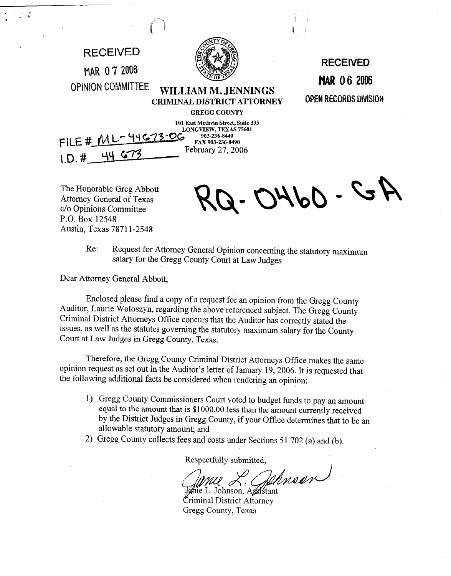

The Honorable Greg Abbott Attorney General of Texas c/o Opinions Committee P.O. Box 12548 Austin, Texas 78711-2548

 $5 - 0460$ 

Re: Request for Attorney General Opinion concerning the statutory maximum salary for the Gregg County Court at Law Judges

Dear Attorney General Abbott,

Enclosed please find a copy of a request for an opinion from the Gregg County Auditor, Laurie Woloszyn, regarding the above referenced subject. The Gregg County Criminal District Attorneys Office concurs that the Auditor has correctly stated the issues, as well as the statutes governing the statutory maximum salary for the County Court at Law Judges in Gregg County, Texas.

Therefore, the Gregg County Criminal District Attorneys Office makes the same opinion request as set out in the Auditor's letter of January 19,2006. It is requested that the following additional facts be considered when rendering an opinion:

- 1) Gregg County Commissioners Court voted to budget funds to pay an amount equal to the amount that is \$1000.00 less than the amount currently received by the District Judges in Gregg County, if your Office determines that to be an allowable statutory amount; and
- 2) Gregg County collects fees and costs under Sections 5 1.702 (a) and (b).

Respectfully submitted,

Dehnsen

ie L. Johnson, Agelstant Criminal District Attorney Gregg County, Texas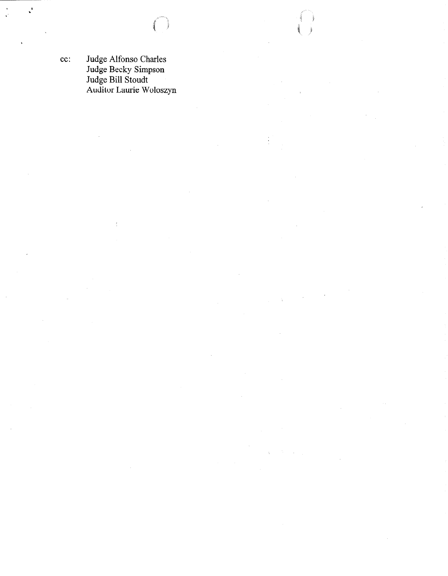$\ddot{\phantom{a}}$ 

 $\frac{1}{2}$ 

cc: Judge Alfonso Charles Judge Becky Simpson Judge Bill Stoudt Auditor Laurie Woloszyn

 $\frac{1}{\lambda}$ 

 $\ddot{\phantom{0}}$ 

 $\chi^2$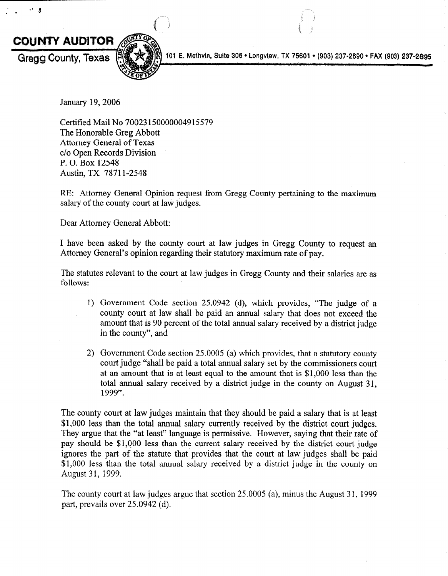

 $\mathbf{H}$ 

101 E. Methvin, Suite 306 · Longview, TX 75601 · (903) 237-2690 · FAX (903) 237-2695

January 19,2006

Certified Mail No 70023 150000004915579 The Honorable Greg Abbott Attorney General of Texas c/o Open Records Division P. 0. Box 12548 Austin, TX 78711-2548

RE: Attorney General Opinion request from Gregg County pertaining to the maximum salary of the county court at law judges.

Dear Attorney General Abbott:

I have been asked by the county court at law judges in Gregg County to request an Attorney General's opinion regarding their statutory maximum rate of pay.

The statutes relevant to the court at law judges in Gregg County and their salaries are as follows:

- 1) Government Code section 25.0942 (d), which provides, "The judge of a county court at law shall be paid an annual salary that does not exceed the amount that is 90 percent of the total annual salary received by a district judge in the county", and
- 2) Government Code section 25.0005 (a) which provides, that a statutory county court judge "shall be paid a total annual salary set by the commissioners court at an amount that is at least equal to the amount that is \$1,000 less than the total annual salary received by a district judge in the county on August 31, 1999".

The county court at law judges maintain that they should be paid a salary that is at least \$1,000 less than the total annual salary currently received by the district court judges. They argue that the "at least" language is permissive, However, saying that their rate of pay should be \$1,000 less than the current salary received by the district court judge ignores the part of the statute that provides that the court at law judges shall be paid \$1,000 less than the total annual salary received by a district judge in the county on August 31, 1999.

The county court at law judges argue that section 25.0005 (a), minus the August 31, 1999 part, prevails over 25.0942 (d).